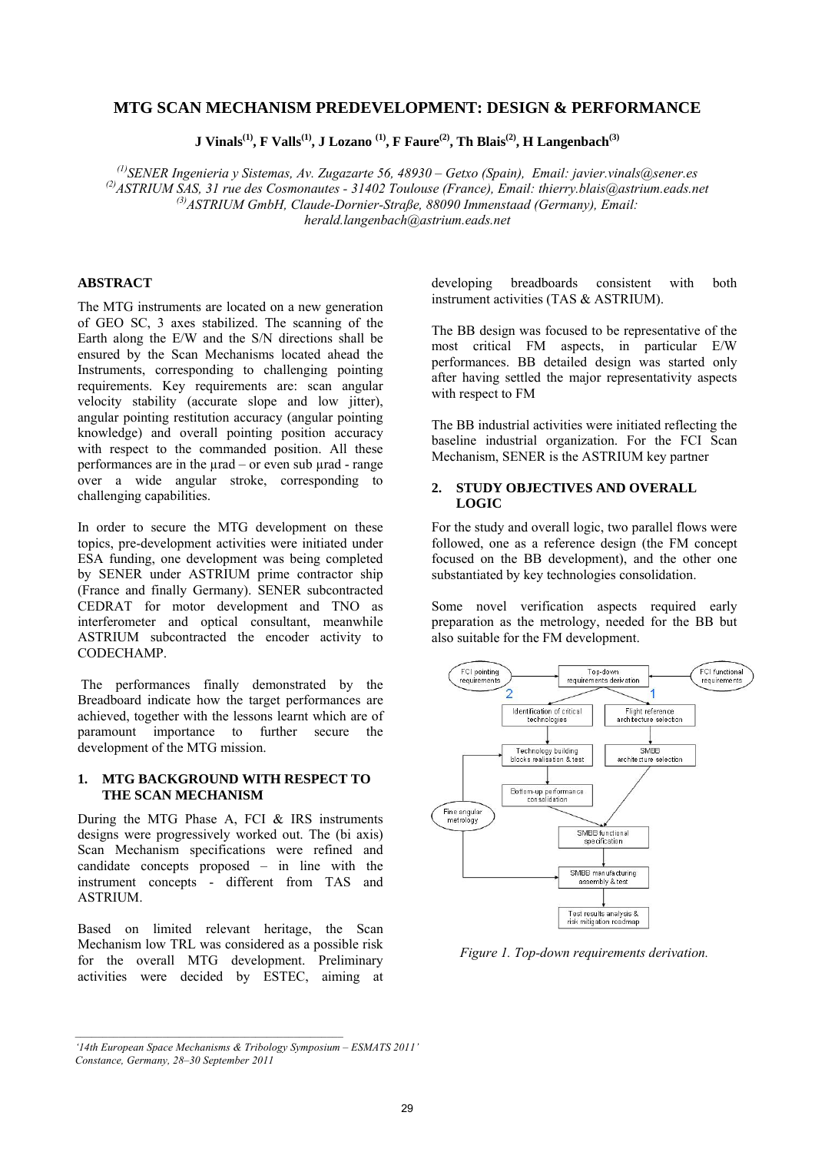# **MTG SCAN MECHANISM PREDEVELOPMENT: DESIGN & PERFORMANCE**

**J** Vinals<sup>(1)</sup>, F Valls<sup>(1)</sup>, **J** Lozano<sup>(1)</sup>, F Faure<sup>(2)</sup>, Th Blais<sup>(2)</sup>, H Langenbach<sup>(3)</sup>

*(1)SENER Ingenieria y Sistemas, Av. Zugazarte 56, 48930 – Getxo (Spain), Email: javier.vinals@sener.es (2)ASTRIUM SAS, 31 rue des Cosmonautes - 31402 Toulouse (France), Email: thierry.blais@astrium.eads.net (3)ASTRIUM GmbH, Claude-Dornier-Straße, 88090 Immenstaad (Germany), Email: herald.langenbach@astrium.eads.net* 

# **ABSTRACT**

The MTG instruments are located on a new generation of GEO SC, 3 axes stabilized. The scanning of the Earth along the E/W and the S/N directions shall be ensured by the Scan Mechanisms located ahead the Instruments, corresponding to challenging pointing requirements. Key requirements are: scan angular velocity stability (accurate slope and low jitter), angular pointing restitution accuracy (angular pointing knowledge) and overall pointing position accuracy with respect to the commanded position. All these performances are in the  $\mu$ rad – or even sub  $\mu$ rad – range over a wide angular stroke, corresponding to challenging capabilities.

In order to secure the MTG development on these topics, pre-development activities were initiated under ESA funding, one development was being completed by SENER under ASTRIUM prime contractor ship (France and finally Germany). SENER subcontracted CEDRAT for motor development and TNO as interferometer and optical consultant, meanwhile ASTRIUM subcontracted the encoder activity to CODECHAMP.

 The performances finally demonstrated by the Breadboard indicate how the target performances are achieved, together with the lessons learnt which are of paramount importance to further secure the development of the MTG mission.

# **1. MTG BACKGROUND WITH RESPECT TO THE SCAN MECHANISM**

During the MTG Phase A, FCI  $&$  IRS instruments designs were progressively worked out. The (bi axis) Scan Mechanism specifications were refined and candidate concepts proposed  $-$  in line with the instrument concepts - different from TAS and **ASTRIUM** 

Based on limited relevant heritage, the Scan Mechanism low TRL was considered as a possible risk for the overall MTG development. Preliminary activities were decided by ESTEC, aiming at developing breadboards consistent with both instrument activities (TAS & ASTRIUM).

The BB design was focused to be representative of the most critical FM aspects, in particular E/W performances. BB detailed design was started only after having settled the major representativity aspects with respect to FM

The BB industrial activities were initiated reflecting the baseline industrial organization. For the FCI Scan Mechanism, SENER is the ASTRIUM key partner

### **2. STUDY OBJECTIVES AND OVERALL LOGIC**

For the study and overall logic, two parallel flows were followed, one as a reference design (the FM concept focused on the BB development), and the other one substantiated by key technologies consolidation.

Some novel verification aspects required early preparation as the metrology, needed for the BB but also suitable for the FM development.



*Figure 1. Top-down requirements derivation.* 

*<sup>&#</sup>x27;14th European Space Mechanisms & Tribology Symposium – ESMATS 2011' Constance, Germany, 28–30 September 2011*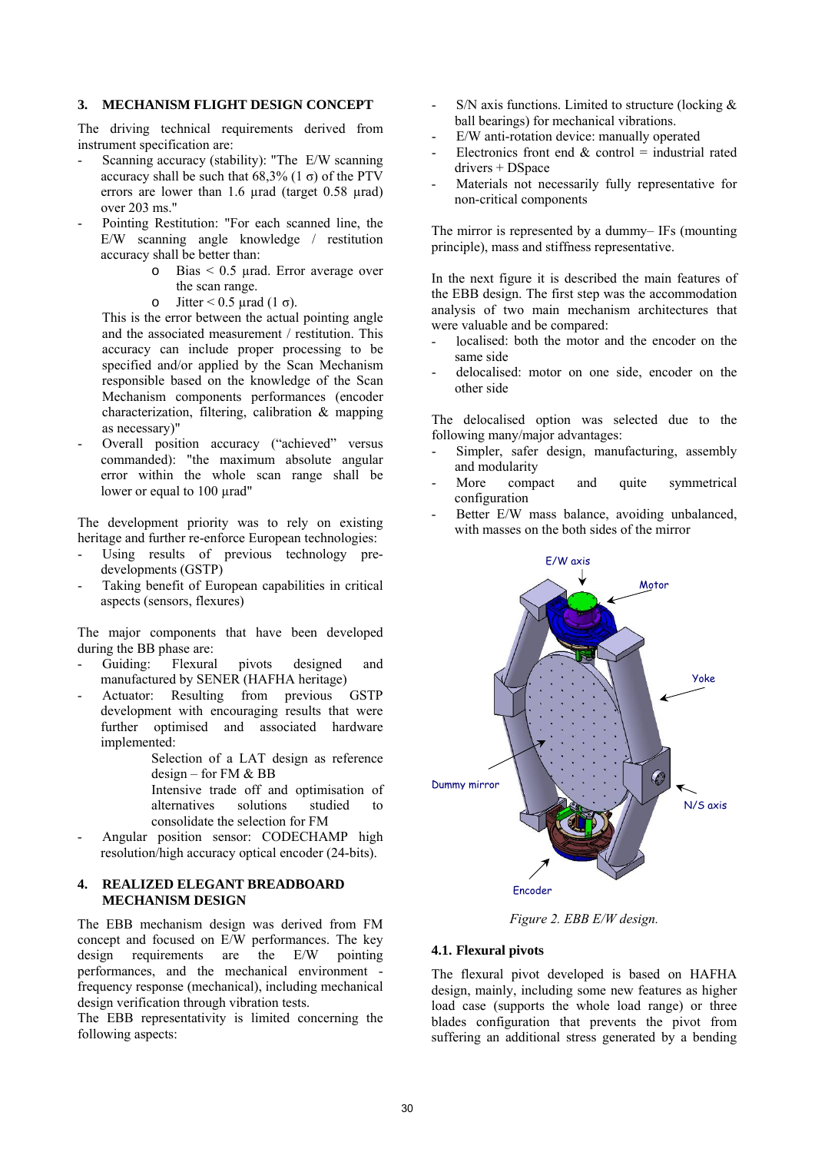### **3. MECHANISM FLIGHT DESIGN CONCEPT**

The driving technical requirements derived from instrument specification are:

- Scanning accuracy (stability): "The E/W scanning accuracy shall be such that  $68.3\%$  (1  $\sigma$ ) of the PTV errors are lower than 1.6 µrad (target 0.58 µrad) over 203 ms."
- Pointing Restitution: "For each scanned line, the E/W scanning angle knowledge / restitution accuracy shall be better than:
	- o Bias < 0.5 µrad. Error average over the scan range.
	- o Jitter < 0.5 µrad (1 σ).

This is the error between the actual pointing angle and the associated measurement / restitution. This accuracy can include proper processing to be specified and/or applied by the Scan Mechanism responsible based on the knowledge of the Scan Mechanism components performances (encoder characterization, filtering, calibration & mapping as necessary)"

Overall position accuracy ("achieved" versus commanded): "the maximum absolute angular error within the whole scan range shall be lower or equal to 100 urad"

The development priority was to rely on existing heritage and further re-enforce European technologies:

- Using results of previous technology predevelopments (GSTP)
- Taking benefit of European capabilities in critical aspects (sensors, flexures)

The major components that have been developed during the BB phase are:

- Guiding: Flexural pivots designed and manufactured by SENER (HAFHA heritage)
- Actuator: Resulting from previous GSTP development with encouraging results that were further optimised and associated hardware implemented:
	- Selection of a LAT design as reference design – for FM & BB Intensive trade off and optimisation of alternatives solutions studied to consolidate the selection for FM
- Angular position sensor: CODECHAMP high resolution/high accuracy optical encoder (24-bits).

### **4. REALIZED ELEGANT BREADBOARD MECHANISM DESIGN**

The EBB mechanism design was derived from FM concept and focused on E/W performances. The key design requirements are the E/W pointing performances, and the mechanical environment frequency response (mechanical), including mechanical design verification through vibration tests.

The EBB representativity is limited concerning the following aspects:

- S/N axis functions. Limited to structure (locking  $\&$ ball bearings) for mechanical vibrations.
- E/W anti-rotation device: manually operated
- Electronics front end  $&$  control = industrial rated drivers + DSpace
- Materials not necessarily fully representative for non-critical components

The mirror is represented by a dummy– IFs (mounting principle), mass and stiffness representative.

In the next figure it is described the main features of the EBB design. The first step was the accommodation analysis of two main mechanism architectures that were valuable and be compared:

- localised: both the motor and the encoder on the same side
- delocalised: motor on one side, encoder on the other side

The delocalised option was selected due to the following many/major advantages:

- Simpler, safer design, manufacturing, assembly and modularity
- More compact and quite symmetrical configuration
- Better E/W mass balance, avoiding unbalanced, with masses on the both sides of the mirror



*Figure 2. EBB E/W design.* 

# **4.1. Flexural pivots**

The flexural pivot developed is based on HAFHA design, mainly, including some new features as higher load case (supports the whole load range) or three blades configuration that prevents the pivot from suffering an additional stress generated by a bending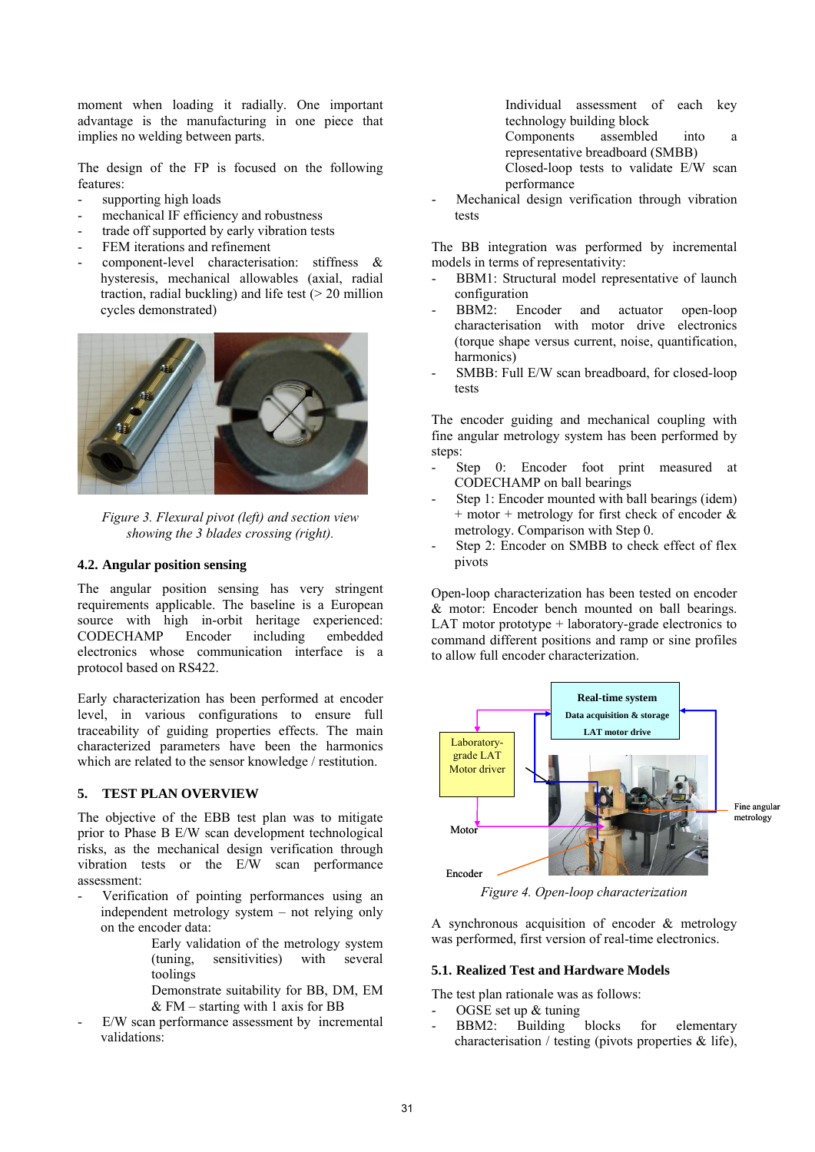moment when loading it radially. One important advantage is the manufacturing in one piece that implies no welding between parts.

The design of the FP is focused on the following features:

- supporting high loads
- mechanical IF efficiency and robustness
- trade off supported by early vibration tests
- FEM iterations and refinement
- component-level characterisation: stiffness & hysteresis, mechanical allowables (axial, radial traction, radial buckling) and life test  $(> 20 \text{ million})$ cycles demonstrated)



*Figure 3. Flexural pivot (left) and section view showing the 3 blades crossing (right).* 

# **4.2. Angular position sensing**

The angular position sensing has very stringent requirements applicable. The baseline is a European source with high in-orbit heritage experienced: CODECHAMP Encoder including embedded electronics whose communication interface is a protocol based on RS422.

Early characterization has been performed at encoder level, in various configurations to ensure full traceability of guiding properties effects. The main characterized parameters have been the harmonics which are related to the sensor knowledge / restitution.

# **5. TEST PLAN OVERVIEW**

The objective of the EBB test plan was to mitigate prior to Phase B E/W scan development technological risks, as the mechanical design verification through vibration tests or the E/W scan performance assessment:

- Verification of pointing performances using an independent metrology system – not relying only on the encoder data:
	- Early validation of the metrology system (tuning, sensitivities) with several toolings
	- Demonstrate suitability for BB, DM, EM  $&$  FM – starting with 1 axis for BB
- E/W scan performance assessment by incremental validations:

Individual assessment of each key technology building block

- Components assembled into a representative breadboard (SMBB)
- Closed-loop tests to validate E/W scan performance
- Mechanical design verification through vibration tests

The BB integration was performed by incremental models in terms of representativity:

- BBM1: Structural model representative of launch configuration<br>BBM2: En
- Encoder and actuator open-loop characterisation with motor drive electronics (torque shape versus current, noise, quantification, harmonics)
- SMBB: Full E/W scan breadboard, for closed-loop tests

The encoder guiding and mechanical coupling with fine angular metrology system has been performed by steps:

- Step 0: Encoder foot print measured at CODECHAMP on ball bearings
- Step 1: Encoder mounted with ball bearings (idem) + motor + metrology for first check of encoder  $\&$ metrology. Comparison with Step 0.
- Step 2: Encoder on SMBB to check effect of flex pivots

Open-loop characterization has been tested on encoder & motor: Encoder bench mounted on ball bearings. LAT motor prototype + laboratory-grade electronics to command different positions and ramp or sine profiles to allow full encoder characterization.



*Figure 4. Open-loop characterization* 

A synchronous acquisition of encoder & metrology was performed, first version of real-time electronics.

# **5.1. Realized Test and Hardware Models**

The test plan rationale was as follows:

- OGSE set up  $&$  tuning
- BBM2: Building blocks for elementary characterisation / testing (pivots properties & life),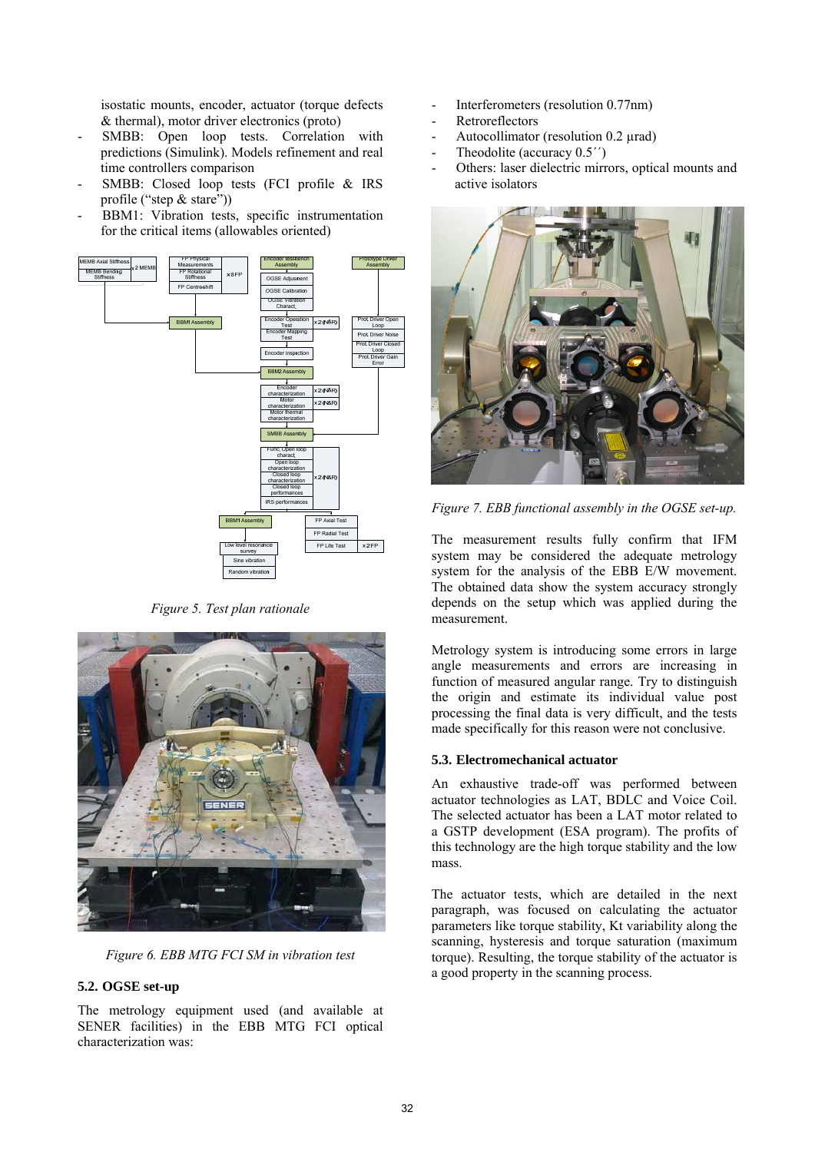isostatic mounts, encoder, actuator (torque defects & thermal), motor driver electronics (proto)

- SMBB: Open loop tests. Correlation with predictions (Simulink). Models refinement and real time controllers comparison
- SMBB: Closed loop tests (FCI profile & IRS profile ("step & stare"))
- BBM1: Vibration tests, specific instrumentation for the critical items (allowables oriented)



*Figure 5. Test plan rationale* 



*Figure 6. EBB MTG FCI SM in vibration test* 

#### **5.2. OGSE set-up**

The metrology equipment used (and available at SENER facilities) in the EBB MTG FCI optical characterization was:

- Interferometers (resolution 0.77nm)
- **Retroreflectors**
- Autocollimator (resolution 0.2 µrad)
- Theodolite (accuracy  $0.5'$ )
- Others: laser dielectric mirrors, optical mounts and active isolators



*Figure 7. EBB functional assembly in the OGSE set-up.* 

The measurement results fully confirm that IFM system may be considered the adequate metrology system for the analysis of the EBB E/W movement. The obtained data show the system accuracy strongly depends on the setup which was applied during the measurement.

Metrology system is introducing some errors in large angle measurements and errors are increasing in function of measured angular range. Try to distinguish the origin and estimate its individual value post processing the final data is very difficult, and the tests made specifically for this reason were not conclusive.

#### **5.3. Electromechanical actuator**

An exhaustive trade-off was performed between actuator technologies as LAT, BDLC and Voice Coil. The selected actuator has been a LAT motor related to a GSTP development (ESA program). The profits of this technology are the high torque stability and the low mass.

The actuator tests, which are detailed in the next paragraph, was focused on calculating the actuator parameters like torque stability, Kt variability along the scanning, hysteresis and torque saturation (maximum torque). Resulting, the torque stability of the actuator is a good property in the scanning process.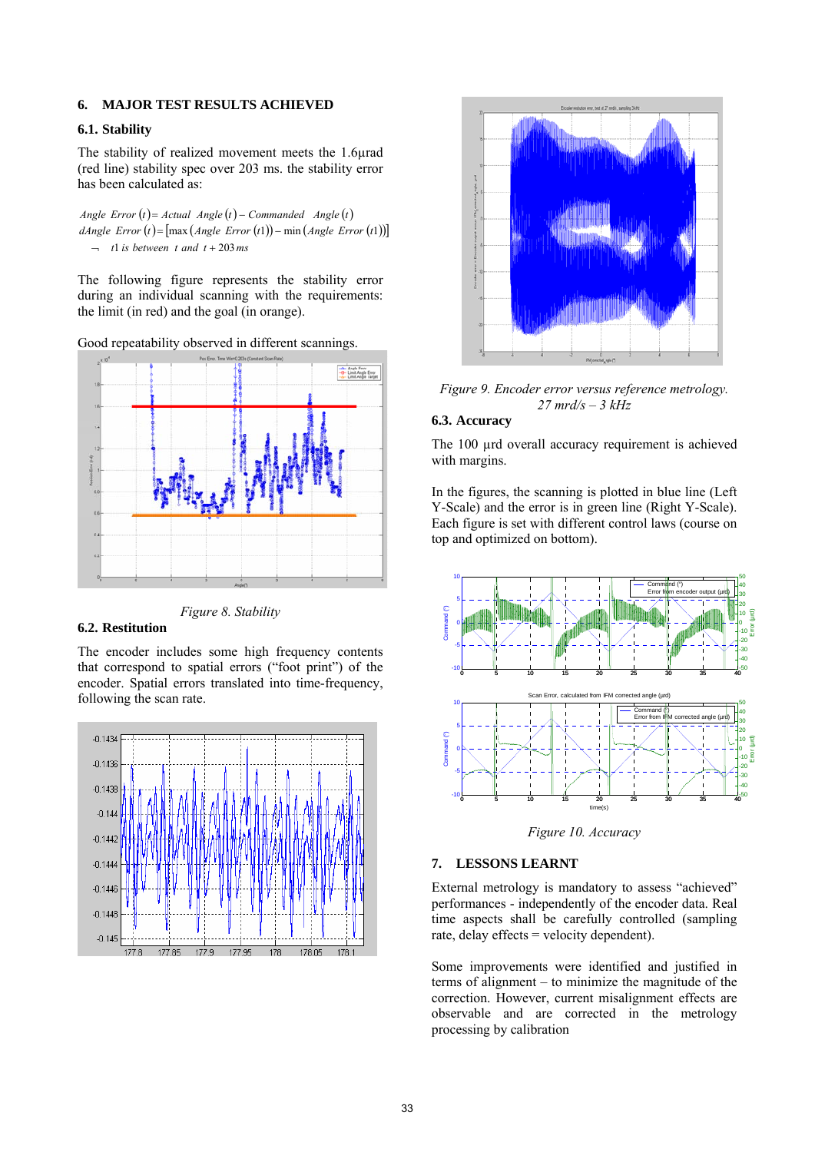# **6. MAJOR TEST RESULTS ACHIEVED**

# **6.1. Stability**

The stability of realized movement meets the 1.6µrad (red line) stability spec over 203 ms. the stability error has been calculated as:

*Angle Error* (*t*) = Actual Angle (*t*) – Commanded Angle (*t*)  $dAngle Error(t) = \left[\max(Angle Error(t1)) - \min(Angle Error(t1))\right]$  $-$  thetween t and t + 203 ms

The following figure represents the stability error during an individual scanning with the requirements: the limit (in red) and the goal (in orange).

Good repeatability observed in different scannings.



*Figure 8. Stability* 

# **6.2. Restitution**

The encoder includes some high frequency contents that correspond to spatial errors ("foot print") of the encoder. Spatial errors translated into time-frequency, following the scan rate.





*Figure 9. Encoder error versus reference metrology. 27 mrd/s – 3 kHz* 

#### **6.3. Accuracy**

The 100 urd overall accuracy requirement is achieved with margins.

In the figures, the scanning is plotted in blue line (Left Y-Scale) and the error is in green line (Right Y-Scale). Each figure is set with different control laws (course on top and optimized on bottom).



*Figure 10. Accuracy* 

### **7. LESSONS LEARNT**

External metrology is mandatory to assess "achieved" performances - independently of the encoder data. Real time aspects shall be carefully controlled (sampling rate, delay effects = velocity dependent).

Some improvements were identified and justified in terms of alignment – to minimize the magnitude of the correction. However, current misalignment effects are observable and are corrected in the metrology processing by calibration